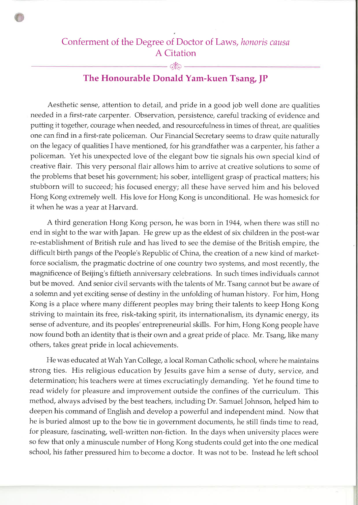## Conferment of the Degree of Doctor of Laws, honoris causa A Citation

 $-\infty$ 

## The Honourable Donald Yam-kuen Tsang, JP

Aesthetic sense, attention to detail, and pride in a good job well done are qualities needed in a first-rate carpenter. Observation, persistence, careful tracking of evidence and putting it together, courage when needed, and resourcefulness in times of threat, are qualities one can find in a first-rate policeman. Our Financial Secretary seems to draw quite naturally on the legacy of qualities I have mentioned, for his grandfather was a carpenter, his father a policeman. Yet his unexpected love of the elegant bow tie signals his own special kind of creative flair. This very personal flair allows him to arrive at creative solutions to some of the problems that beset his government; his sober, intelligent grasp of practical matters; his stubborn will to succeed; his focused energy; all these have served him and his beloved Hong Kong extremely well. His love for Hong Kong is unconditional. FIe was homesick for it when he was a year at Harvard.

A third generation Hong Kong person, he was born in 1944, when there was still no end in sight to the war with Japan. He grew up as the eldest of six children in the post-war re-establishment of British rule and has lived to see the demise of the British empire, the difficult birth pangs of the People's Republic of China, the creation of a new kind of marketforce socialism, the pragmatic doctrine of one country two systems, and most recently, the magnificence of Beijing's fiftieth anniversary celebrations. In such times individuals cannot but be moved. And senior civil servants with the talents of Mr. Tsang cannot but be aware of a solemn and yet exciting sense of destiny in the unfolding of human history. For him, Hong Kong is a place where many different peoples may bring their talents to keep Hong Kong striving to maintain its free, risk-taking spirit, its internationalism, its dynamic energy, its sense of adventure, and its peoples' entrepreneurial skills. For him, Hong Kong people have now found both an identity that is their own and a great pride of place. Mr, Tsang, like many others, takes great pride in local achievements.

He was educated at Wah Yan College, a local Roman Catholic school, where he maintains strong ties. His religious education by Jesuits gave him a sense of duty, service, and determination; his teachers were at times excruciatingly demanding. Yet he found time to read widely for pleasure and improvement outside the confines of the curriculum. This method, always advised by the best teachers, including Dr. Samuel Johnson, helped him to deepen his command of English and develop a powerful and independent mind. Now that he is buried almost up to the bow tie in government documents, he still finds time to read, for pleasure, fascinating, well-written non-fiction. In the days when university places were so few that only a minuscule number of Hong Kong students could get into the one medical school, his father pressured him to become a doctor. It was not to be. Instead he left school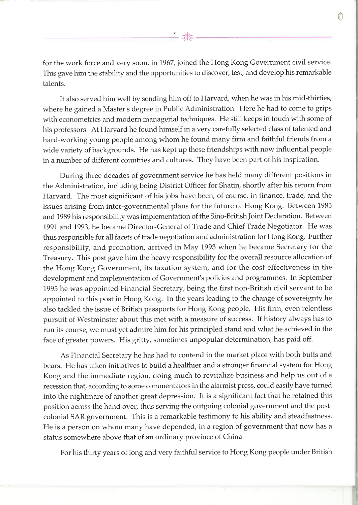for the work force and very soon, in 1967, joined the Hong Kong Government civil service. This gave him the stability and the opportunities to discover, test, and develop his remarkable talents.

It also served him well by sending him off to Harvard, when he was in his mid-thirties, where he gained a Master's degree in Public Administration. Here he had to come to grips with econometrics and modern managerial techniques. He still keeps in touch with some of his professors. At Harvard he found himself in a very carefully selected class of talented and hard-working young people among whom he found many firm and faithful friends from a wide variety of backgrounds. He has kept up these friendships with now influential people in a number of different countries and cultures. They have been part of his inspiration.

During three decades of government service he has held many different positions in the Administration, including being District Officer for Shatin, shortly after his return from Harvard. The most significant of his jobs have been, of course, in finance, trade, and the issues arising from inter-governmental plans for the future of Hong Kong. Between 1985 and 1989 his responsibility was implementation of the Sino-British Joint Declaration. Between 1991 and 1993, he became Director-General of Trade and Chief Trade Negotiator. He was thus responsible for all facets of trade negotiation and administration for Hong Kong. Further responsibility, and promotion, arrived in May 1993 when he became Secretary for the Treasury. This post gave him the heavy responsibility for the overall resource allocation of the Hong Kong Government, its taxation system, and for the cost-effectiveness in the development and implementation of Government's policies and programmes. In September 1995 he was appointed Financial Secretary, being the first non-British civil servant to be appointed to this post in Hong Kong. In the years leading to the change of sovereignty he also tackled the issue of British passports for Hong Kong people. His firm, even relentless pursuit of Westminster about this met with a measure of success. If history always has to run its course, we must yet admire him for his principled stand and what he achieved in the face of greater powers. His gritty, sometimes unpopular determination, has paid off.

As Financial Secretary he has had to contend in the market place with both bulls and bears. He has taken initiatives to build a healthier and a stronger financial system for Hong Kong and the immediate region, doing much to revitalize business and help us out of <sup>a</sup> recession that, according to some commentators in the alarmist press, could easily have turned into the nightmare of another great depression. It is a significant fact that he retained this position across the hand over, thus serving the outgoing colonial government and the postcolonial SAR government. This is a remarkable testimony to his ability and steadfastness. He is a person on whom many have depended, in a region of government that now has a status somewhere above that of an ordinary province of China.

For his thirty years of long and very faithful service to Hong Kong people under British

CI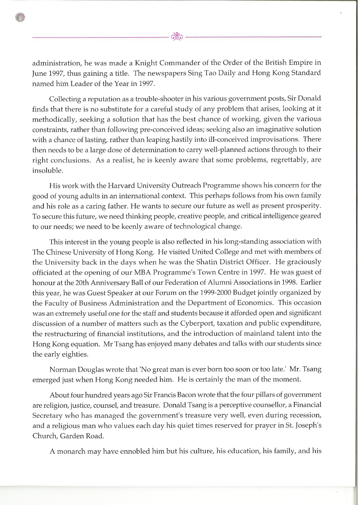administration, he was made a Knight Commander of the Order of the British Empire in June 1997, thus gaining a title. The newspapers Sing Tao Daily and Hong Kong Standard named him Leader of the Year in 1997.

Collecting a reputation as a trouble-shooter in his various goverrunent posts, Sir Donald finds that there is no substitute for a careful study of any problem that arises, looking at it methodically, seeking a solution that has the best chance of working, given the various constraints, rather than following pre-conceived ideas; seeking also an imaginative solution with a chance of lasting, rather than leaping hastily into ill-conceived improvisations. There then needs to be a large dose of determination to carry well-planned actions through to their right conclusions. As a realist, he is keenly aware that some problems, regrettably, are insoluble.

His work with the Harvard University Outreach Programme shows his concern for the good of young adults in an international context. This perhaps follows from his own family and his role as a caring father. He wants to secure our future as well as present prosperity. To secure this future, we need thinking people, creative people, and critical intelligence geared to our needs; we need to be keenly aware of technological change.

This interest in the young people is also reflected in his long-standing association with The Chinese University of Hong Kong. He visited United College and met with members of the University back in the days when he was the Shatin District Officer. He graciously officiated at the opening of our MBA Programme's Town Centre in 1997. He was guest of honour at the 20th Anniversary Ball of our Federation of Alumni Associations in 1998. Earlier this year, he was Guest Speaker at our Forum on the 1999-2000 Budget jointly organized by the Faculty of Business Administration and the Department of Economics. This occasion was an extremely useful one for the staff and students because it afforded open and significant discussion of a number of matters such as the Cyberport, taxation and public expenditure, the restructuring of financial institutions, and the introduction of mainland talent into the Hong Kong equation. Mr Tsang has enjoyed many debates and talks with our students since the early eighties.

Norman Douglas wrote that 'No great man is ever born too soon or too late.' Mr. Tsang emerged just when Hong Kong needed him. He is certainly the man of the moment.

About four hundred years ago Sir Francis Bacon wrote that the four pillars of government are religion, justice, counsel, and treasure. Donald Tsang is a perceptive counsellor, a Financial Secretary who has managed the government's treasure very well, even during recession, and a religious man who values each day his quiet times reserved for prayer in St. Joseph's Church, Garden Road.

A monarch may have ennobled him but his culture, his education, his Íamily, and his